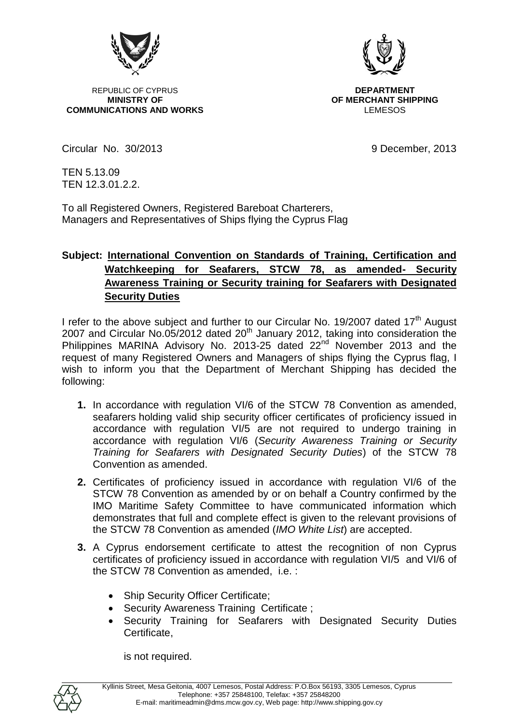

REPUBLIC OF CYPRUS **DEPARTMENT**<br>MINISTRY OF **DEPARTMENT COMMUNICATIONS AND WORKS** 



**OF MERCHANT SHIPPING**<br>LEMESOS

Circular No. 30/2013 9 December, 2013

TEN 5.13.09 TEN 12.3.01.2.2.

To all Registered Owners, Registered Bareboat Charterers, Managers and Representatives of Ships flying the Cyprus Flag

## **Subject: International Convention on Standards of Training, Certification and Watchkeeping for Seafarers, STCW 78, as amended- Security Awareness Training or Security training for Seafarers with Designated Security Duties**

I refer to the above subject and further to our Circular No. 19/2007 dated 17<sup>th</sup> August 2007 and Circular No.05/2012 dated 20th January 2012, taking into consideration the Philippines MARINA Advisory No. 2013-25 dated 22<sup>nd</sup> November 2013 and the request of many Registered Owners and Managers of ships flying the Cyprus flag, I wish to inform you that the Department of Merchant Shipping has decided the following:

- **1.** In accordance with regulation VI/6 of the STCW 78 Convention as amended, seafarers holding valid ship security officer certificates of proficiency issued in accordance with regulation VI/5 are not required to undergo training in accordance with regulation VI/6 (*Security Awareness Training or Security Training for Seafarers with Designated Security Duties*) of the STCW 78 Convention as amended.
- **2.** Certificates of proficiency issued in accordance with regulation VI/6 of the STCW 78 Convention as amended by or on behalf a Country confirmed by the IMO Maritime Safety Committee to have communicated information which demonstrates that full and complete effect is given to the relevant provisions of the STCW 78 Convention as amended (*IMO White List*) are accepted.
- **3.** A Cyprus endorsement certificate to attest the recognition of non Cyprus certificates of proficiency issued in accordance with regulation VI/5 and VI/6 of the STCW 78 Convention as amended, i.e. :
	- Ship Security Officer Certificate;
	- Security Awareness Training Certificate ;
	- Security Training for Seafarers with Designated Security Duties Certificate,

is not required.